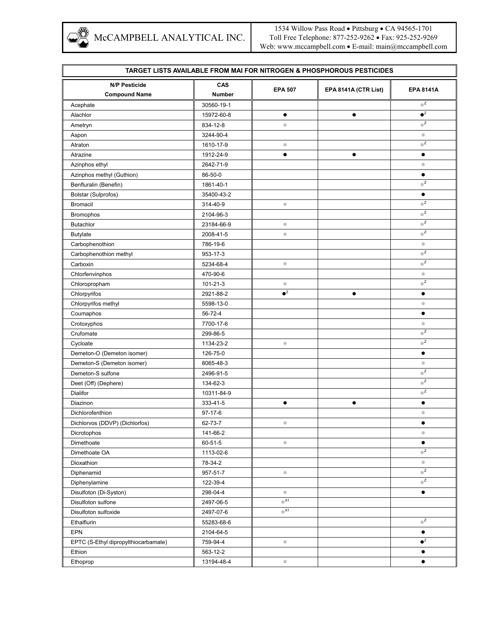

1534 Willow Pass Road • Pittsburg • CA 94565-1701 Toll Free Telephone: 877-252-9262 • Fax: 925-252-9269 Web: www.mccampbell.com • E-mail: main@mccampbell.com

| <b>TARGET LISTS AVAILABLE FROM MAI FOR NITROGEN &amp; PHOSPHOROUS PESTICIDES</b> |               |                         |                      |                                          |  |  |  |
|----------------------------------------------------------------------------------|---------------|-------------------------|----------------------|------------------------------------------|--|--|--|
| <b>N/P Pesticide</b>                                                             | CAS           |                         |                      |                                          |  |  |  |
| <b>Compound Name</b>                                                             | <b>Number</b> | <b>EPA 507</b>          | EPA 8141A (CTR List) | <b>EPA 8141A</b>                         |  |  |  |
| Acephate                                                                         | 30560-19-1    |                         |                      | $\bullet^{\mathsf{Z}}$                   |  |  |  |
| Alachlor                                                                         | 15972-60-8    | $\bullet$               | $\bullet$            | $\bullet^Z$                              |  |  |  |
| Ametryn                                                                          | 834-12-8      | $\bullet$               |                      | $\bullet^{\mathsf{Z}}$                   |  |  |  |
| Aspon                                                                            | 3244-90-4     |                         |                      | $\bullet$                                |  |  |  |
| Atraton                                                                          | 1610-17-9     | $\qquad \qquad \circ$   |                      | $\bullet^Z$                              |  |  |  |
| Atrazine                                                                         | 1912-24-9     | $\bullet$               | $\bullet$            | $\bullet$                                |  |  |  |
| Azinphos ethyl                                                                   | 2642-71-9     |                         |                      | $\hfill\textcircled{\ensuremath{\circ}}$ |  |  |  |
| Azinphos methyl (Guthion)                                                        | 86-50-0       |                         |                      | $\bullet$                                |  |  |  |
| Benfluralin (Benefin)                                                            | 1861-40-1     |                         |                      | $\bullet^Z$                              |  |  |  |
| Bolstar (Sulprofos)                                                              | 35400-43-2    |                         |                      | $\bullet$                                |  |  |  |
| <b>Bromacil</b>                                                                  | 314-40-9      | $\bullet$               |                      | $\overline{\mathbf{C}}$                  |  |  |  |
| <b>Bromophos</b>                                                                 | 2104-96-3     |                         |                      | $\mathbb C^{\mathbb Z}$                  |  |  |  |
| Butachlor                                                                        | 23184-66-9    | $\bullet$               |                      | $\bullet^{\mathsf{Z}}$                   |  |  |  |
| <b>Butylate</b>                                                                  | 2008-41-5     | $\bullet$               |                      | $\bullet^{\mathsf{Z}}$                   |  |  |  |
| Carbophenothion                                                                  | 786-19-6      |                         |                      | $\bullet$                                |  |  |  |
| Carbophenothion methyl                                                           | 953-17-3      |                         |                      | $\bullet^Z$                              |  |  |  |
| Carboxin                                                                         | 5234-68-4     | $\bullet$               |                      | $\bullet^Z$                              |  |  |  |
| Chlorfenvinphos                                                                  | 470-90-6      |                         |                      | $\bullet$                                |  |  |  |
| Chloropropham                                                                    | 101-21-3      | $\bullet$               |                      | $\bullet^{\mathsf{Z}}$                   |  |  |  |
| Chlorpyrifos                                                                     | 2921-88-2     | $\bullet^{\mathbb{Z}}$  | $\bullet$            | $\bullet$                                |  |  |  |
| Chlorpyrifos methyl                                                              | 5598-13-0     |                         |                      | $\bullet$                                |  |  |  |
| Coumaphos                                                                        | 56-72-4       |                         |                      | $\bullet$                                |  |  |  |
| Crotoxyphos                                                                      | 7700-17-6     |                         |                      | $\bullet$                                |  |  |  |
| Crufomate                                                                        | 299-86-5      |                         |                      | $\overline{\mathbf{C}}$                  |  |  |  |
| Cycloate                                                                         | 1134-23-2     | $\bullet$               |                      | $\overline{\mathbf{C}}$                  |  |  |  |
| Demeton-O (Demeton isomer)                                                       | 126-75-0      |                         |                      | $\bullet$                                |  |  |  |
| Demeton-S (Demeton isomer)                                                       | 8065-48-3     |                         |                      | $\bullet$                                |  |  |  |
| Demeton-S sulfone                                                                | 2496-91-5     |                         |                      | $\overline{\mathbf{C}}$                  |  |  |  |
| Deet (Off) (Dephere)                                                             | 134-62-3      |                         |                      | $\bullet^{\mathsf{Z}}$                   |  |  |  |
| Dialifor                                                                         | 10311-84-9    |                         |                      | $\bullet^Z$                              |  |  |  |
| Diazinon                                                                         | 333-41-5      | $\bullet$               | $\bullet$            | $\bullet$                                |  |  |  |
| Dichlorofenthion                                                                 | $97 - 17 - 6$ |                         |                      | $\bullet$                                |  |  |  |
| Dichlorvos (DDVP) (Dichlorfos)                                                   | 62-73-7       | $\qquad \qquad \circ$   |                      | $\bullet$                                |  |  |  |
| Dicrotophos                                                                      | 141-66-2      |                         |                      | $\bullet$                                |  |  |  |
| Dimethoate                                                                       | 60-51-5       | $\hskip 1.6cm \circ$    |                      | $\bullet$                                |  |  |  |
| Dimethoate OA                                                                    | 1113-02-6     |                         |                      | $\bullet^{\mathsf{Z}}$                   |  |  |  |
| Dioxathion                                                                       | 78-34-2       |                         |                      | $\bullet$                                |  |  |  |
| Diphenamid                                                                       | 957-51-7      | $\bullet$               |                      | $\bullet^{\mathsf{Z}}$                   |  |  |  |
| Diphenylamine                                                                    | 122-39-4      |                         |                      | $\bullet^Z$                              |  |  |  |
| Disulfoton (Di-Syston)                                                           | 298-04-4      | $\bullet$               |                      | $\bullet$                                |  |  |  |
| Disulfoton sulfone                                                               | 2497-06-5     | $\bullet$ <sup>X1</sup> |                      |                                          |  |  |  |
| Disulfoton sulfoxide                                                             | 2497-07-6     | $\bullet$ <sup>X1</sup> |                      |                                          |  |  |  |
| Ethalflurin                                                                      | 55283-68-6    |                         |                      | $\bullet^Z$                              |  |  |  |
| <b>EPN</b>                                                                       | 2104-64-5     |                         |                      | $\bullet$                                |  |  |  |
| EPTC (S-Ethyl dipropylthiocarbamate)                                             | 759-94-4      | $\bullet$               |                      | $\bullet^Z$                              |  |  |  |
| Ethion                                                                           | 563-12-2      |                         |                      | $\bullet$                                |  |  |  |
| Ethoprop                                                                         | 13194-48-4    | $\qquad \qquad \bullet$ |                      | $\bullet$                                |  |  |  |
|                                                                                  |               |                         |                      |                                          |  |  |  |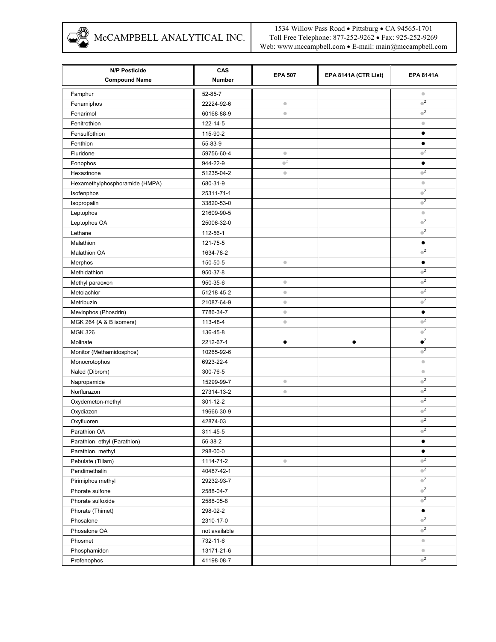MCCAMPBELL ANALYTICAL INC.

| <b>N/P Pesticide</b><br><b>Compound Name</b> | CAS<br><b>Number</b> | <b>EPA 507</b>        | EPA 8141A (CTR List) | <b>EPA 8141A</b>                         |
|----------------------------------------------|----------------------|-----------------------|----------------------|------------------------------------------|
|                                              |                      |                       |                      |                                          |
| Famphur                                      | 52-85-7              |                       |                      | $\hskip 1.0cm \bullet$<br>$\overline{z}$ |
| Fenamiphos                                   | 22224-92-6           | $\bullet$             |                      | $\bullet^{\mathsf{Z}}$                   |
| Fenarimol                                    | 60168-88-9           | $\bullet$             |                      |                                          |
| Fenitrothion                                 | 122-14-5             |                       |                      | $\bullet$                                |
| Fensulfothion                                | 115-90-2             |                       |                      | ٠                                        |
| Fenthion                                     | 55-83-9              |                       |                      | $\bullet$                                |
| Fluridone                                    | 59756-60-4           | $\qquad \qquad \circ$ |                      | $\bullet^{\mathsf{Z}}$                   |
| Fonophos                                     | 944-22-9             | $\bullet^Z$           |                      | $\bullet$                                |
| Hexazinone                                   | 51235-04-2           | $\bullet$             |                      | $\mathbb{Z}$                             |
| Hexamethylphosphoramide (HMPA)               | 680-31-9             |                       |                      | $\bullet$                                |
| Isofenphos                                   | 25311-71-1           |                       |                      | $\bullet^{\mathsf{Z}}$                   |
| Isopropalin                                  | 33820-53-0           |                       |                      | $\bullet^Z$                              |
| Leptophos                                    | 21609-90-5           |                       |                      | $\bullet$                                |
| Leptophos OA                                 | 25006-32-0           |                       |                      | $\bullet^{\mathsf{Z}}$                   |
| Lethane                                      | 112-56-1             |                       |                      | $\mathbb{Z}$                             |
| Malathion                                    | 121-75-5             |                       |                      | $\bullet$                                |
| <b>Malathion OA</b>                          | 1634-78-2            |                       |                      | $\bullet^{\mathsf{Z}}$                   |
| Merphos                                      | 150-50-5             | $\bullet$             |                      | $\bullet$                                |
| Methidathion                                 | 950-37-8             |                       |                      | $\bullet^{\mathsf{Z}}$                   |
| Methyl paraoxon                              | 950-35-6             | $\bullet$             |                      | $\bullet^{\mathsf{Z}}$                   |
| Metolachlor                                  | 51218-45-2           | $\bullet$             |                      | $\bullet^{\mathsf{Z}}$                   |
| Metribuzin                                   | 21087-64-9           | $\bullet$             |                      | $\bullet^Z$                              |
| Mevinphos (Phosdrin)                         | 7786-34-7            | $\bullet$             |                      | $\bullet$                                |
| MGK 264 (A & B isomers)                      | 113-48-4             | $\bullet$             |                      | $\bullet^Z$                              |
| <b>MGK 326</b>                               | 136-45-8             |                       |                      | $\bullet^{\mathsf{Z}}$                   |
| Molinate                                     | 2212-67-1            | $\bullet$             | $\bullet$            | $\bullet^{\mathbb{Z}}$                   |
| Monitor (Methamidosphos)                     | 10265-92-6           |                       |                      | $\bullet^{\mathsf{Z}}$                   |
| Monocrotophos                                | 6923-22-4            |                       |                      | $\bullet$                                |
| Naled (Dibrom)                               | 300-76-5             |                       |                      | $\bullet$                                |
| Napropamide                                  | 15299-99-7           | $\bullet$             |                      | $\overline{z}$                           |
| Norflurazon                                  | 27314-13-2           | $\bullet$             |                      | $\bullet^{\mathsf{Z}}$                   |
| Oxydemeton-methyl                            | 301-12-2             |                       |                      | $\bullet^{\mathsf{Z}}$                   |
| Oxydiazon                                    | 19666-30-9           |                       |                      | $\bullet^{\mathsf{Z}}$                   |
| Oxyfluoren                                   | 42874-03             |                       |                      | $\bullet^{\mathsf{Z}}$                   |
| Parathion OA                                 | 311-45-5             |                       |                      | $\bullet^{\mathsf{Z}}$                   |
| Parathion, ethyl (Parathion)                 | 56-38-2              |                       |                      | $\bullet$                                |
| Parathion, methyl                            | 298-00-0             |                       |                      | $\bullet$                                |
| Pebulate (Tillam)                            | 1114-71-2            | $\qquad \qquad \circ$ |                      | $\bullet^{\mathsf{Z}}$                   |
| Pendimethalin                                | 40487-42-1           |                       |                      | $\mathbb{Z}$                             |
|                                              |                      |                       |                      | $\bullet^{\mathsf{Z}}$                   |
| Pirimiphos methyl                            | 29232-93-7           |                       |                      | $\bullet^{\mathsf{Z}}$                   |
| Phorate sulfone                              | 2588-04-7            |                       |                      | $\mathbb{Z}$                             |
| Phorate sulfoxide                            | 2588-05-8            |                       |                      |                                          |
| Phorate (Thimet)                             | 298-02-2             |                       |                      | $\bullet$<br>$\overline{\mathbf{C}}$     |
| Phosalone                                    | 2310-17-0            |                       |                      |                                          |
| Phosalone OA                                 | not available        |                       |                      | $\mathbb{Z}$                             |
| Phosmet                                      | 732-11-6             |                       |                      | $\hfill \textcircled{.}$                 |
| Phosphamidon                                 | 13171-21-6           |                       |                      | $\bullet$                                |
| Profenophos                                  | 41198-08-7           |                       |                      | $\mathbb{Z}$                             |